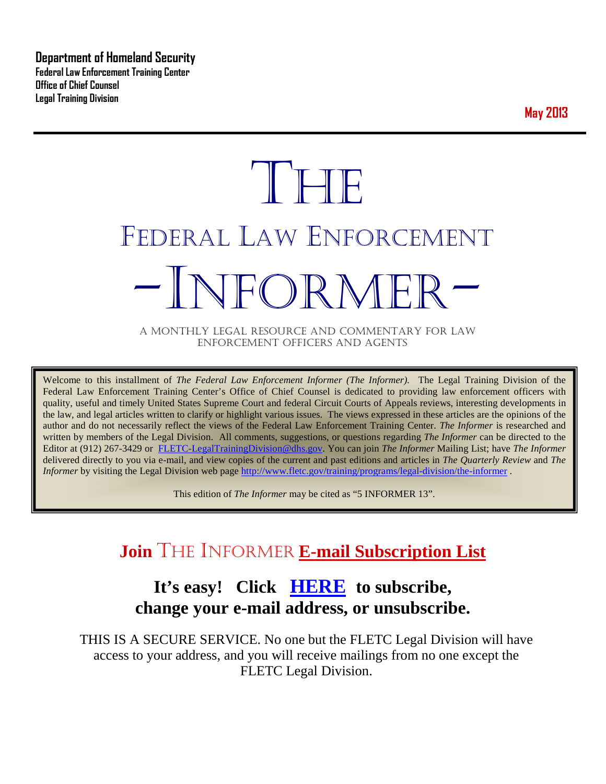**Department of Homeland Security Federal Law Enforcement Training Center Office of Chief Counsel Legal Training Division** 

**May 2013**

# **THE** FEDERAL LAW ENFORCEMENT -INFORMER- A MONTHLY LEGAL RESOURCE AND COMMENTARY FOR LAW

ENFORCEMENT OFFICERS AND AGENTS

Welcome to this installment of *The Federal Law Enforcement Informer (The Informer).* The Legal Training Division of the Federal Law Enforcement Training Center's Office of Chief Counsel is dedicated to providing law enforcement officers with quality, useful and timely United States Supreme Court and federal Circuit Courts of Appeals reviews, interesting developments in the law, and legal articles written to clarify or highlight various issues. The views expressed in these articles are the opinions of the author and do not necessarily reflect the views of the Federal Law Enforcement Training Center. *The Informer* is researched and written by members of the Legal Division. All comments, suggestions, or questions regarding *The Informer* can be directed to the Editor at (912) 267-3429 or [FLETC-LegalTrainingDivision@dhs.gov.](mailto:FLETC-LegalTrainingDivision@dhs.gov) You can join *The Informer* Mailing List; have *The Informer* delivered directly to you via e-mail, and view copies of the current and past editions and articles in *The Quarterly Review* and *The Informer* by visiting the Legal Division web page<http://www.fletc.gov/training/programs/legal-division/the-informer>.

This edition of *The Informer* may be cited as "5 INFORMER 13".

## **Join** THE INFORMER **E-mail Subscription List**

## **It's easy! Click [HERE](http://peach.ease.lsoft.com/scripts/wa.exe?SUBED1=fletclgd&A=1) to subscribe, change your e-mail address, or unsubscribe.**

THIS IS A SECURE SERVICE. No one but the FLETC Legal Division will have access to your address, and you will receive mailings from no one except the FLETC Legal Division.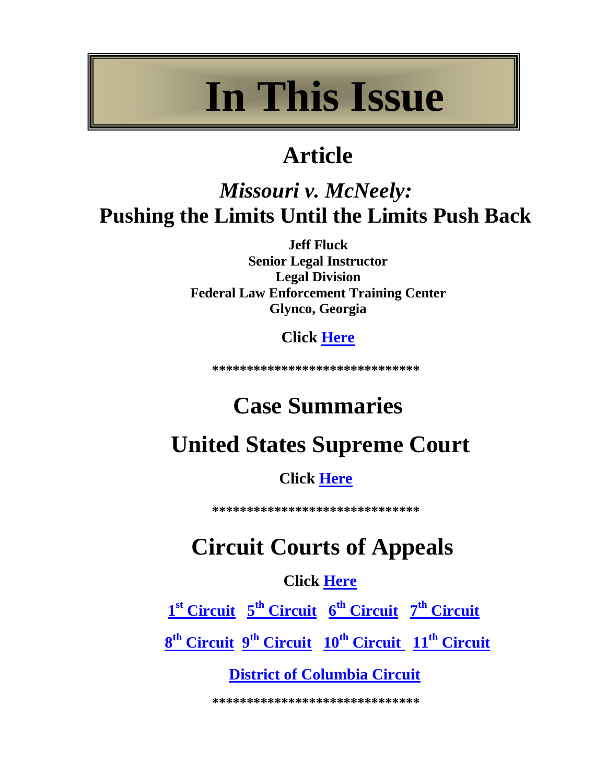## **In This Issue**

## **Article**

## *Missouri v. McNeely:* **Pushing the Limits Until the Limits Push Back**

**Jeff Fluck Senior Legal Instructor Legal Division Federal Law Enforcement Training Center Glynco, Georgia**

**Click [Here](#page-4-0)**

**\*\*\*\*\*\*\*\*\*\*\*\*\*\*\*\*\*\*\*\*\*\*\*\*\*\*\*\*\*\***

## **Case Summaries**

## **United States Supreme Court**

## **Click [Here](#page-6-0)**

**\*\*\*\*\*\*\*\*\*\*\*\*\*\*\*\*\*\*\*\*\*\*\*\*\*\*\*\*\*\***

## **Circuit Courts of Appeals**

## **Click [Here](#page-6-1)**

 **1st [Circuit](#page-6-2) 5th [Circuit](#page-8-0) 6th [Circuit](#page-10-0) 7th [Circuit](#page-14-0)**

**8th [Circuit](#page-15-0) 9th [Circuit](#page-19-0) 10th [Circuit](#page-21-0) 11th [Circuit](#page-24-0)**

## **[District of Columbia Circuit](#page-25-0)**

**\*\*\*\*\*\*\*\*\*\*\*\*\*\*\*\*\*\*\*\*\*\*\*\*\*\*\*\*\*\***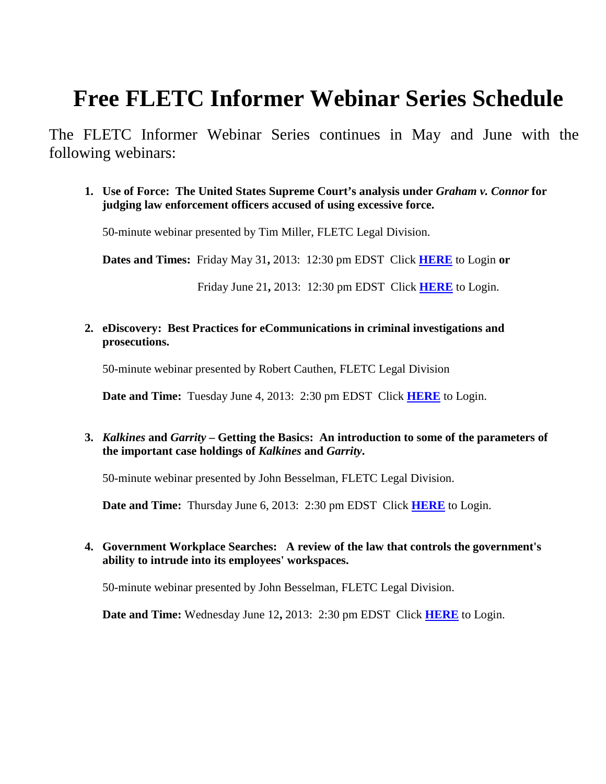## **Free FLETC Informer Webinar Series Schedule**

The FLETC Informer Webinar Series continues in May and June with the following webinars:

**1. Use of Force: The United States Supreme Court's analysis under** *Graham v. Connor* **for judging law enforcement officers accused of using excessive force.** 

50-minute webinar presented by Tim Miller, FLETC Legal Division.

**Dates and Times:** Friday May 31**,** 2013: 12:30 pm EDST Click **[HERE](https://connect.hsin.gov/useofforce_1)** to Login **or**

Friday June 21**,** 2013: 12:30 pm EDST Click **[HERE](https://connect.hsin.gov/useofforce_2)** to Login.

**2. eDiscovery: Best Practices for eCommunications in criminal investigations and prosecutions.**

50-minute webinar presented by Robert Cauthen, FLETC Legal Division

**Date and Time:** Tuesday June 4, 2013: 2:30 pm EDST Click **[HERE](https://connect.hsin.gov/fletclgd0605/)** to Login.

**3.** *Kalkines* **and** *Garrity* **– Getting the Basics: An introduction to some of the parameters of the important case holdings of** *Kalkines* **and** *Garrity***.**

50-minute webinar presented by John Besselman, FLETC Legal Division.

**Date and Time:** Thursday June 6, 2013: 2:30 pm EDST Click **[HERE](http://connect.hsin.gov/fletclgd0606/)** to Login.

#### **4. Government Workplace Searches: A review of the law that controls the government's ability to intrude into its employees' workspaces.**

50-minute webinar presented by John Besselman, FLETC Legal Division.

**Date and Time:** Wednesday June 12**,** 2013: 2:30 pm EDST Click **[HERE](http://connect.hsin.gov/fletclgd0612/)** to Login.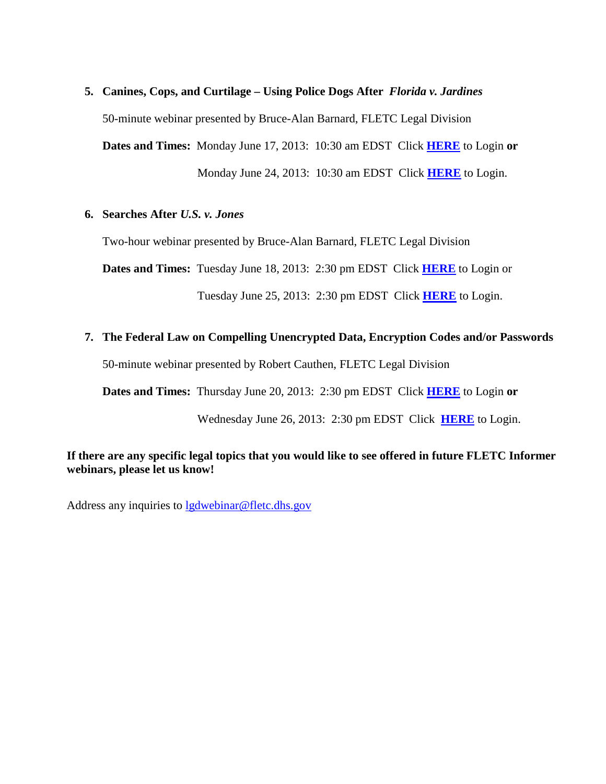#### **5. Canines, Cops, and Curtilage – Using Police Dogs After** *Florida v. Jardines*

50-minute webinar presented by Bruce-Alan Barnard, FLETC Legal Division

**Dates and Times:** Monday June 17, 2013: 10:30 am EDST Click **[HERE](http://connect.hsin.gov/fletclgd0617/)** to Login **or** Monday June 24, 2013: 10:30 am EDST Click **[HERE](http://connect.hsin.gov/fletclgd0624/)** to Login.

#### **6. Searches After** *U.S. v. Jones*

Two-hour webinar presented by Bruce-Alan Barnard, FLETC Legal Division

**Dates and Times:** Tuesday June 18, 2013: 2:30 pm EDST Click **[HERE](http://connect.hsin.gov/fletclgd0618/)** to Login or

Tuesday June 25, 2013: 2:30 pm EDST Click **[HERE](http://connect.hsin.gov/fletclgd0625/)** to Login.

#### **7. The Federal Law on Compelling Unencrypted Data, Encryption Codes and/or Passwords**

50-minute webinar presented by Robert Cauthen, FLETC Legal Division

**Dates and Times:** Thursday June 20, 2013: 2:30 pm EDST Click **[HERE](https://connect.hsin.gov/fletclgd0620/)** to Login **or**

Wednesday June 26, 2013: 2:30 pm EDST Click **[HERE](https://connect.hsin.gov/fletclgd0626/)** to Login.

#### **If there are any specific legal topics that you would like to see offered in future FLETC Informer webinars, please let us know!**

Address any inquiries to [lgdwebinar@fletc.dhs.gov](mailto:lgdwebinar@fletc.dhs.gov)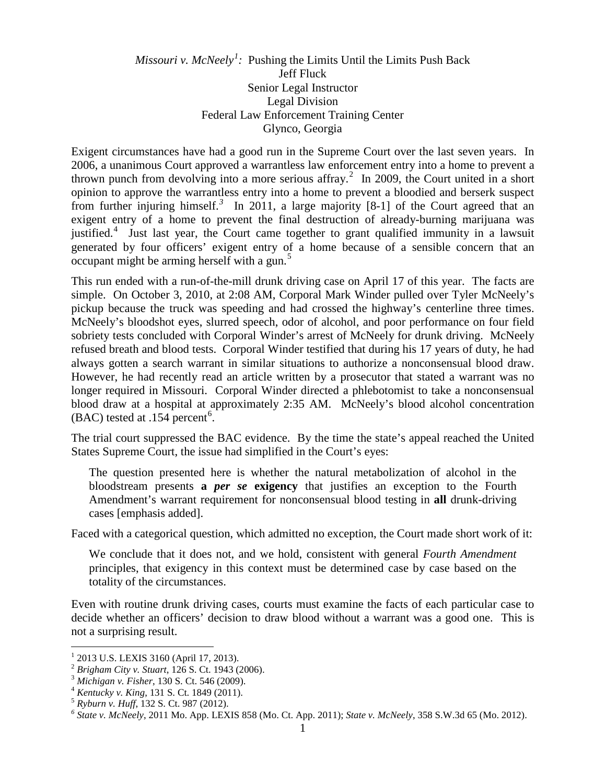#### <span id="page-4-0"></span>*Missouri v. McNeely[1](#page-4-1) :* Pushing the Limits Until the Limits Push Back Jeff Fluck Senior Legal Instructor Legal Division Federal Law Enforcement Training Center Glynco, Georgia

Exigent circumstances have had a good run in the Supreme Court over the last seven years. In 2006, a unanimous Court approved a warrantless law enforcement entry into a home to prevent a thrown punch from devolving into a more serious affray.<sup>[2](#page-4-2)</sup> In 2009, the Court united in a short opinion to approve the warrantless entry into a home to prevent a bloodied and berserk suspect from further injuring himself.<sup>[3](#page-4-3)</sup> In 2011, a large majority [8-1] of the Court agreed that an exigent entry of a home to prevent the final destruction of already-burning marijuana was justified.<sup>[4](#page-4-4)</sup> Just last year, the Court came together to grant qualified immunity in a lawsuit generated by four officers' exigent entry of a home because of a sensible concern that an occupant might be arming herself with a gun.<sup>[5](#page-4-5)</sup>

This run ended with a run-of-the-mill drunk driving case on April 17 of this year. The facts are simple. On October 3, 2010, at 2:08 AM, Corporal Mark Winder pulled over Tyler McNeely's pickup because the truck was speeding and had crossed the highway's centerline three times. McNeely's bloodshot eyes, slurred speech, odor of alcohol, and poor performance on four field sobriety tests concluded with Corporal Winder's arrest of McNeely for drunk driving. McNeely refused breath and blood tests. Corporal Winder testified that during his 17 years of duty, he had always gotten a search warrant in similar situations to authorize a nonconsensual blood draw. However, he had recently read an article written by a prosecutor that stated a warrant was no longer required in Missouri. Corporal Winder directed a phlebotomist to take a nonconsensual blood draw at a hospital at approximately 2:35 AM. McNeely's blood alcohol concentration  $(BAC)$  tested at .154 percent<sup>[6](#page-4-6)</sup>.

The trial court suppressed the BAC evidence. By the time the state's appeal reached the United States Supreme Court, the issue had simplified in the Court's eyes:

The question presented here is whether the natural metabolization of alcohol in the bloodstream presents **a** *per se* **exigency** that justifies an exception to the Fourth Amendment's warrant requirement for nonconsensual blood testing in **all** drunk-driving cases [emphasis added].

Faced with a categorical question, which admitted no exception, the Court made short work of it:

We conclude that it does not, and we hold, consistent with general *Fourth Amendment* principles, that exigency in this context must be determined case by case based on the totality of the circumstances.

Even with routine drunk driving cases, courts must examine the facts of each particular case to decide whether an officers' decision to draw blood without a warrant was a good one. This is not a surprising result.

<span id="page-4-2"></span><span id="page-4-1"></span> $^{1}$  2013 U.S. LEXIS 3160 (April 17, 2013).<br> $^{2}$  Brigham City v. Stuart, 126 S. Ct. 1943 (2006).

<span id="page-4-4"></span>

<span id="page-4-6"></span><span id="page-4-5"></span>

<span id="page-4-3"></span><sup>&</sup>lt;sup>3</sup> Michigan v. Fisher, 130 S. Ct. 546 (2009).<br>
<sup>4</sup> Kentucky v. King, 131 S. Ct. 1849 (2011).<br>
<sup>5</sup> Ryburn v. Huff, 132 S. Ct. 987 (2012).<br>
<sup>6</sup> State v. McNeely, 2011 Mo. App. LEXIS 858 (Mo. Ct. App. 2011); State v. McNeel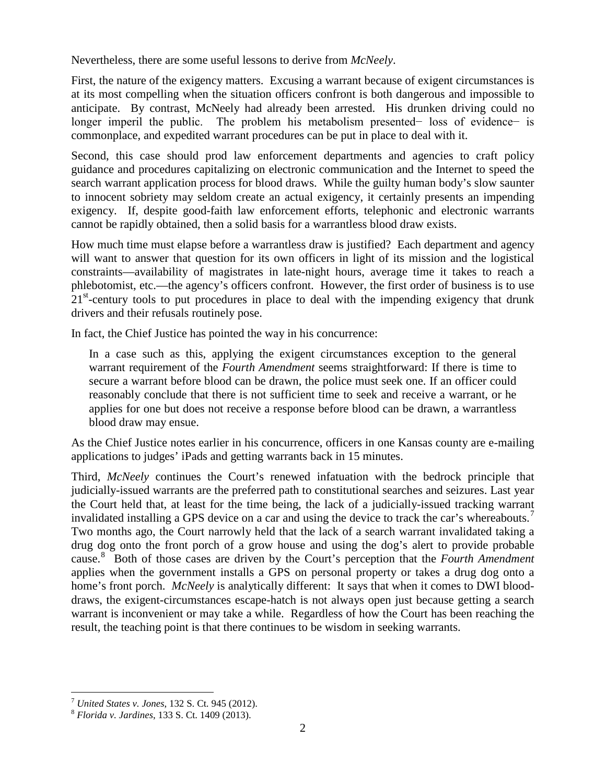Nevertheless, there are some useful lessons to derive from *McNeely*.

First, the nature of the exigency matters. Excusing a warrant because of exigent circumstances is at its most compelling when the situation officers confront is both dangerous and impossible to anticipate. By contrast, McNeely had already been arrested. His drunken driving could no longer imperil the public. The problem his metabolism presented− loss of evidence− is commonplace, and expedited warrant procedures can be put in place to deal with it.

Second, this case should prod law enforcement departments and agencies to craft policy guidance and procedures capitalizing on electronic communication and the Internet to speed the search warrant application process for blood draws. While the guilty human body's slow saunter to innocent sobriety may seldom create an actual exigency, it certainly presents an impending exigency. If, despite good-faith law enforcement efforts, telephonic and electronic warrants cannot be rapidly obtained, then a solid basis for a warrantless blood draw exists.

How much time must elapse before a warrantless draw is justified? Each department and agency will want to answer that question for its own officers in light of its mission and the logistical constraints—availability of magistrates in late-night hours, average time it takes to reach a phlebotomist, etc.—the agency's officers confront. However, the first order of business is to use  $21<sup>st</sup>$ -century tools to put procedures in place to deal with the impending exigency that drunk drivers and their refusals routinely pose.

In fact, the Chief Justice has pointed the way in his concurrence:

In a case such as this, applying the exigent circumstances exception to the general warrant requirement of the *Fourth Amendment* seems straightforward: If there is time to secure a warrant before blood can be drawn, the police must seek one. If an officer could reasonably conclude that there is not sufficient time to seek and receive a warrant, or he applies for one but does not receive a response before blood can be drawn, a warrantless blood draw may ensue.

As the Chief Justice notes earlier in his concurrence, officers in one Kansas county are e-mailing applications to judges' iPads and getting warrants back in 15 minutes.

Third, *McNeely* continues the Court's renewed infatuation with the bedrock principle that judicially-issued warrants are the preferred path to constitutional searches and seizures. Last year the Court held that, at least for the time being, the lack of a judicially-issued tracking warrant invalidated installing a GPS device on a car and using the device to track the car's whereabouts.<sup>[7](#page-5-0)</sup> Two months ago, the Court narrowly held that the lack of a search warrant invalidated taking a drug dog onto the front porch of a grow house and using the dog's alert to provide probable cause.[8](#page-5-1) Both of those cases are driven by the Court's perception that the *Fourth Amendment* applies when the government installs a GPS on personal property or takes a drug dog onto a home's front porch. *McNeely* is analytically different: It says that when it comes to DWI blooddraws, the exigent-circumstances escape-hatch is not always open just because getting a search warrant is inconvenient or may take a while. Regardless of how the Court has been reaching the result, the teaching point is that there continues to be wisdom in seeking warrants.

<span id="page-5-0"></span><sup>7</sup> *United States v. Jones*, 132 S. Ct. 945 (2012). <sup>8</sup> *Florida v. Jardines*, 133 S. Ct. 1409 (2013).

<span id="page-5-1"></span>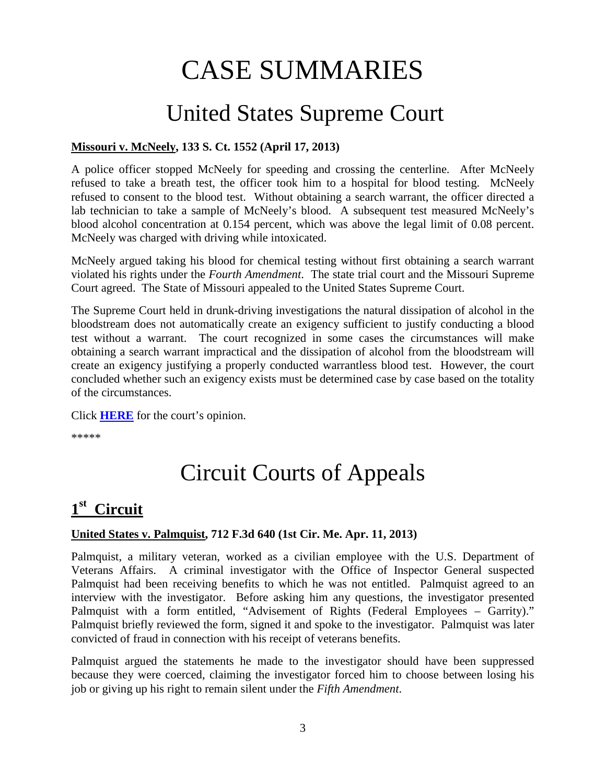## CASE SUMMARIES

## <span id="page-6-0"></span>United States Supreme Court

#### **Missouri v. McNeely, 133 S. Ct. 1552 (April 17, 2013)**

A police officer stopped McNeely for speeding and crossing the centerline. After McNeely refused to take a breath test, the officer took him to a hospital for blood testing. McNeely refused to consent to the blood test. Without obtaining a search warrant, the officer directed a lab technician to take a sample of McNeely's blood. A subsequent test measured McNeely's blood alcohol concentration at 0.154 percent, which was above the legal limit of 0.08 percent. McNeely was charged with driving while intoxicated.

McNeely argued taking his blood for chemical testing without first obtaining a search warrant violated his rights under the *Fourth Amendment*. The state trial court and the Missouri Supreme Court agreed. The State of Missouri appealed to the United States Supreme Court.

The Supreme Court held in drunk-driving investigations the natural dissipation of alcohol in the bloodstream does not automatically create an exigency sufficient to justify conducting a blood test without a warrant. The court recognized in some cases the circumstances will make obtaining a search warrant impractical and the dissipation of alcohol from the bloodstream will create an exigency justifying a properly conducted warrantless blood test. However, the court concluded whether such an exigency exists must be determined case by case based on the totality of the circumstances.

Click **[HERE](http://www.supremecourt.gov/opinions/12pdf/11-1425_cb8e.pdf)** for the court's opinion.

<span id="page-6-1"></span>\*\*\*\*\*

## Circuit Courts of Appeals

### <span id="page-6-2"></span>**1st Circuit**

#### **United States v. Palmquist, 712 F.3d 640 (1st Cir. Me. Apr. 11, 2013)**

Palmquist, a military veteran, worked as a civilian employee with the U.S. Department of Veterans Affairs. A criminal investigator with the Office of Inspector General suspected Palmquist had been receiving benefits to which he was not entitled. Palmquist agreed to an interview with the investigator. Before asking him any questions, the investigator presented Palmquist with a form entitled, "Advisement of Rights (Federal Employees – Garrity)." Palmquist briefly reviewed the form, signed it and spoke to the investigator. Palmquist was later convicted of fraud in connection with his receipt of veterans benefits.

Palmquist argued the statements he made to the investigator should have been suppressed because they were coerced, claiming the investigator forced him to choose between losing his job or giving up his right to remain silent under the *Fifth Amendment*.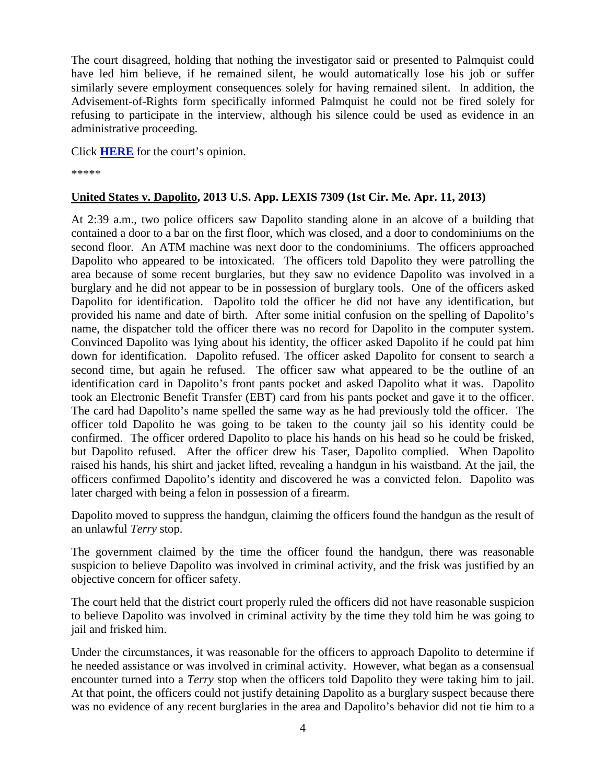The court disagreed, holding that nothing the investigator said or presented to Palmquist could have led him believe, if he remained silent, he would automatically lose his job or suffer similarly severe employment consequences solely for having remained silent. In addition, the Advisement-of-Rights form specifically informed Palmquist he could not be fired solely for refusing to participate in the interview, although his silence could be used as evidence in an administrative proceeding.

Click **[HERE](http://docs.justia.com/cases/federal/appellate-courts/ca1/11-2371/11-2371-2013-04-11.pdf)** for the court's opinion.

\*\*\*\*\*

#### **United States v. Dapolito, 2013 U.S. App. LEXIS 7309 (1st Cir. Me. Apr. 11, 2013)**

At 2:39 a.m., two police officers saw Dapolito standing alone in an alcove of a building that contained a door to a bar on the first floor, which was closed, and a door to condominiums on the second floor. An ATM machine was next door to the condominiums. The officers approached Dapolito who appeared to be intoxicated. The officers told Dapolito they were patrolling the area because of some recent burglaries, but they saw no evidence Dapolito was involved in a burglary and he did not appear to be in possession of burglary tools. One of the officers asked Dapolito for identification. Dapolito told the officer he did not have any identification, but provided his name and date of birth. After some initial confusion on the spelling of Dapolito's name, the dispatcher told the officer there was no record for Dapolito in the computer system. Convinced Dapolito was lying about his identity, the officer asked Dapolito if he could pat him down for identification. Dapolito refused. The officer asked Dapolito for consent to search a second time, but again he refused. The officer saw what appeared to be the outline of an identification card in Dapolito's front pants pocket and asked Dapolito what it was. Dapolito took an Electronic Benefit Transfer (EBT) card from his pants pocket and gave it to the officer. The card had Dapolito's name spelled the same way as he had previously told the officer. The officer told Dapolito he was going to be taken to the county jail so his identity could be confirmed. The officer ordered Dapolito to place his hands on his head so he could be frisked, but Dapolito refused. After the officer drew his Taser, Dapolito complied. When Dapolito raised his hands, his shirt and jacket lifted, revealing a handgun in his waistband. At the jail, the officers confirmed Dapolito's identity and discovered he was a convicted felon. Dapolito was later charged with being a felon in possession of a firearm.

Dapolito moved to suppress the handgun, claiming the officers found the handgun as the result of an unlawful *Terry* stop.

The government claimed by the time the officer found the handgun, there was reasonable suspicion to believe Dapolito was involved in criminal activity, and the frisk was justified by an objective concern for officer safety.

The court held that the district court properly ruled the officers did not have reasonable suspicion to believe Dapolito was involved in criminal activity by the time they told him he was going to jail and frisked him.

Under the circumstances, it was reasonable for the officers to approach Dapolito to determine if he needed assistance or was involved in criminal activity. However, what began as a consensual encounter turned into a *Terry* stop when the officers told Dapolito they were taking him to jail. At that point, the officers could not justify detaining Dapolito as a burglary suspect because there was no evidence of any recent burglaries in the area and Dapolito's behavior did not tie him to a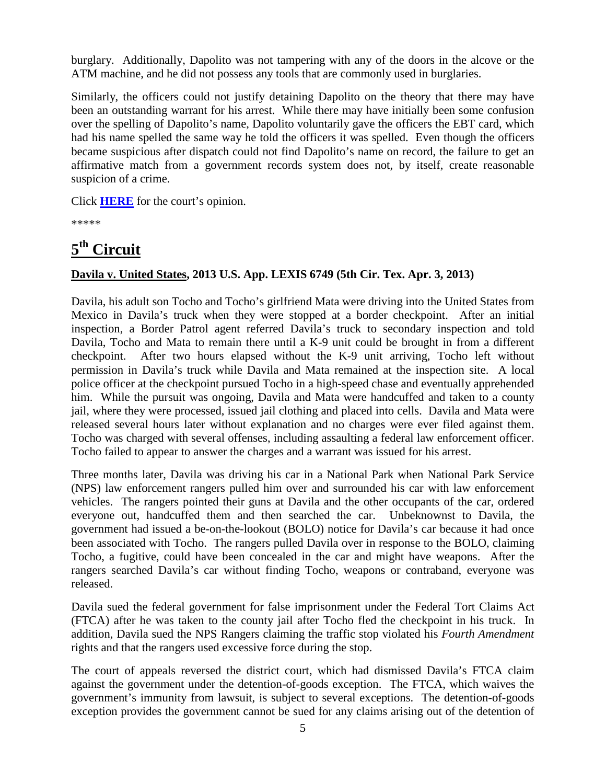burglary. Additionally, Dapolito was not tampering with any of the doors in the alcove or the ATM machine, and he did not possess any tools that are commonly used in burglaries.

Similarly, the officers could not justify detaining Dapolito on the theory that there may have been an outstanding warrant for his arrest. While there may have initially been some confusion over the spelling of Dapolito's name, Dapolito voluntarily gave the officers the EBT card, which had his name spelled the same way he told the officers it was spelled. Even though the officers became suspicious after dispatch could not find Dapolito's name on record, the failure to get an affirmative match from a government records system does not, by itself, create reasonable suspicion of a crime.

Click **[HERE](http://docs.justia.com/cases/federal/appellate-courts/ca1/12-2023/12-2023-2013-04-11.pdf)** for the court's opinion.

\*\*\*\*\*

## <span id="page-8-0"></span>**5th Circuit**

#### **Davila v. United States, 2013 U.S. App. LEXIS 6749 (5th Cir. Tex. Apr. 3, 2013)**

Davila, his adult son Tocho and Tocho's girlfriend Mata were driving into the United States from Mexico in Davila's truck when they were stopped at a border checkpoint. After an initial inspection, a Border Patrol agent referred Davila's truck to secondary inspection and told Davila, Tocho and Mata to remain there until a K-9 unit could be brought in from a different checkpoint. After two hours elapsed without the K-9 unit arriving, Tocho left without permission in Davila's truck while Davila and Mata remained at the inspection site. A local police officer at the checkpoint pursued Tocho in a high-speed chase and eventually apprehended him. While the pursuit was ongoing, Davila and Mata were handcuffed and taken to a county jail, where they were processed, issued jail clothing and placed into cells. Davila and Mata were released several hours later without explanation and no charges were ever filed against them. Tocho was charged with several offenses, including assaulting a federal law enforcement officer. Tocho failed to appear to answer the charges and a warrant was issued for his arrest.

Three months later, Davila was driving his car in a National Park when National Park Service (NPS) law enforcement rangers pulled him over and surrounded his car with law enforcement vehicles. The rangers pointed their guns at Davila and the other occupants of the car, ordered everyone out, handcuffed them and then searched the car. Unbeknownst to Davila, the government had issued a be-on-the-lookout (BOLO) notice for Davila's car because it had once been associated with Tocho. The rangers pulled Davila over in response to the BOLO, claiming Tocho, a fugitive, could have been concealed in the car and might have weapons. After the rangers searched Davila's car without finding Tocho, weapons or contraband, everyone was released.

Davila sued the federal government for false imprisonment under the Federal Tort Claims Act (FTCA) after he was taken to the county jail after Tocho fled the checkpoint in his truck. In addition, Davila sued the NPS Rangers claiming the traffic stop violated his *Fourth Amendment* rights and that the rangers used excessive force during the stop.

The court of appeals reversed the district court, which had dismissed Davila's FTCA claim against the government under the detention-of-goods exception. The FTCA, which waives the government's immunity from lawsuit, is subject to several exceptions. The detention-of-goods exception provides the government cannot be sued for any claims arising out of the detention of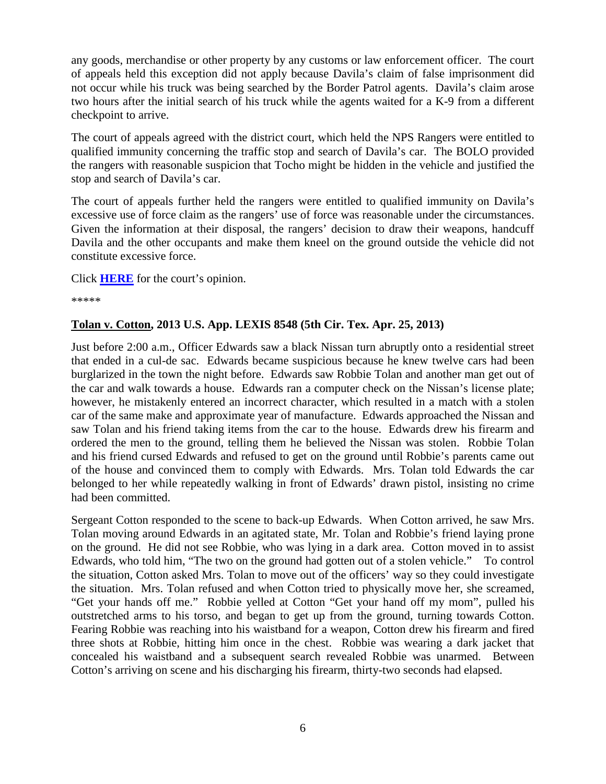any goods, merchandise or other property by any customs or law enforcement officer. The court of appeals held this exception did not apply because Davila's claim of false imprisonment did not occur while his truck was being searched by the Border Patrol agents. Davila's claim arose two hours after the initial search of his truck while the agents waited for a K-9 from a different checkpoint to arrive.

The court of appeals agreed with the district court, which held the NPS Rangers were entitled to qualified immunity concerning the traffic stop and search of Davila's car. The BOLO provided the rangers with reasonable suspicion that Tocho might be hidden in the vehicle and justified the stop and search of Davila's car.

The court of appeals further held the rangers were entitled to qualified immunity on Davila's excessive use of force claim as the rangers' use of force was reasonable under the circumstances. Given the information at their disposal, the rangers' decision to draw their weapons, handcuff Davila and the other occupants and make them kneel on the ground outside the vehicle did not constitute excessive force.

Click **[HERE](http://docs.justia.com/cases/federal/appellate-courts/ca5/12-50044/12-50044-2013-04-03.pdf)** for the court's opinion.

\*\*\*\*\*

#### **Tolan v. Cotton, 2013 U.S. App. LEXIS 8548 (5th Cir. Tex. Apr. 25, 2013)**

Just before 2:00 a.m., Officer Edwards saw a black Nissan turn abruptly onto a residential street that ended in a cul-de sac. Edwards became suspicious because he knew twelve cars had been burglarized in the town the night before. Edwards saw Robbie Tolan and another man get out of the car and walk towards a house. Edwards ran a computer check on the Nissan's license plate; however, he mistakenly entered an incorrect character, which resulted in a match with a stolen car of the same make and approximate year of manufacture. Edwards approached the Nissan and saw Tolan and his friend taking items from the car to the house. Edwards drew his firearm and ordered the men to the ground, telling them he believed the Nissan was stolen. Robbie Tolan and his friend cursed Edwards and refused to get on the ground until Robbie's parents came out of the house and convinced them to comply with Edwards. Mrs. Tolan told Edwards the car belonged to her while repeatedly walking in front of Edwards' drawn pistol, insisting no crime had been committed.

Sergeant Cotton responded to the scene to back-up Edwards. When Cotton arrived, he saw Mrs. Tolan moving around Edwards in an agitated state, Mr. Tolan and Robbie's friend laying prone on the ground. He did not see Robbie, who was lying in a dark area. Cotton moved in to assist Edwards, who told him, "The two on the ground had gotten out of a stolen vehicle." To control the situation, Cotton asked Mrs. Tolan to move out of the officers' way so they could investigate the situation. Mrs. Tolan refused and when Cotton tried to physically move her, she screamed, "Get your hands off me." Robbie yelled at Cotton "Get your hand off my mom", pulled his outstretched arms to his torso, and began to get up from the ground, turning towards Cotton. Fearing Robbie was reaching into his waistband for a weapon, Cotton drew his firearm and fired three shots at Robbie, hitting him once in the chest. Robbie was wearing a dark jacket that concealed his waistband and a subsequent search revealed Robbie was unarmed. Between Cotton's arriving on scene and his discharging his firearm, thirty-two seconds had elapsed.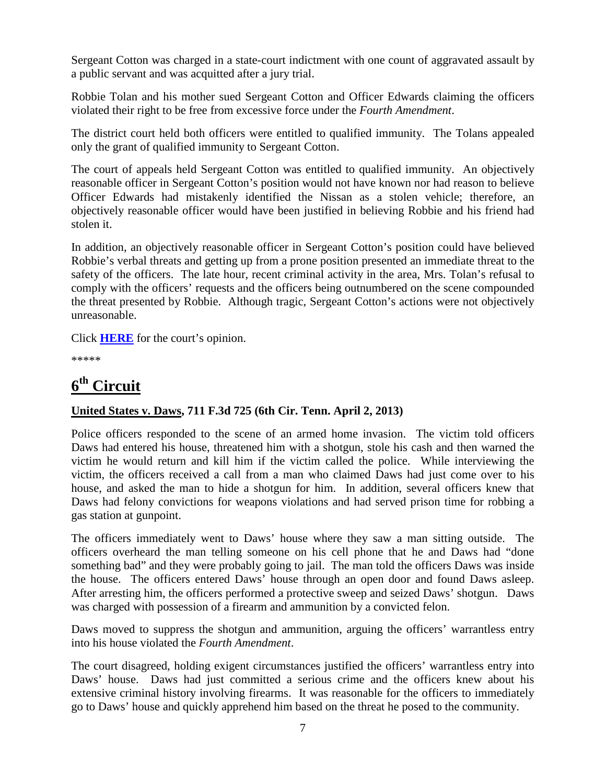Sergeant Cotton was charged in a state-court indictment with one count of aggravated assault by a public servant and was acquitted after a jury trial.

Robbie Tolan and his mother sued Sergeant Cotton and Officer Edwards claiming the officers violated their right to be free from excessive force under the *Fourth Amendment*.

The district court held both officers were entitled to qualified immunity. The Tolans appealed only the grant of qualified immunity to Sergeant Cotton.

The court of appeals held Sergeant Cotton was entitled to qualified immunity. An objectively reasonable officer in Sergeant Cotton's position would not have known nor had reason to believe Officer Edwards had mistakenly identified the Nissan as a stolen vehicle; therefore, an objectively reasonable officer would have been justified in believing Robbie and his friend had stolen it.

In addition, an objectively reasonable officer in Sergeant Cotton's position could have believed Robbie's verbal threats and getting up from a prone position presented an immediate threat to the safety of the officers. The late hour, recent criminal activity in the area, Mrs. Tolan's refusal to comply with the officers' requests and the officers being outnumbered on the scene compounded the threat presented by Robbie. Although tragic, Sergeant Cotton's actions were not objectively unreasonable.

Click **[HERE](http://docs.justia.com/cases/federal/appellate-courts/ca5/12-20296/12-20296-2013-04-26.pdf)** for the court's opinion.

\*\*\*\*\*

## <span id="page-10-0"></span>**6th Circuit**

#### **United States v. Daws, 711 F.3d 725 (6th Cir. Tenn. April 2, 2013)**

Police officers responded to the scene of an armed home invasion. The victim told officers Daws had entered his house, threatened him with a shotgun, stole his cash and then warned the victim he would return and kill him if the victim called the police. While interviewing the victim, the officers received a call from a man who claimed Daws had just come over to his house, and asked the man to hide a shotgun for him. In addition, several officers knew that Daws had felony convictions for weapons violations and had served prison time for robbing a gas station at gunpoint.

The officers immediately went to Daws' house where they saw a man sitting outside. The officers overheard the man telling someone on his cell phone that he and Daws had "done something bad" and they were probably going to jail. The man told the officers Daws was inside the house. The officers entered Daws' house through an open door and found Daws asleep. After arresting him, the officers performed a protective sweep and seized Daws' shotgun. Daws was charged with possession of a firearm and ammunition by a convicted felon.

Daws moved to suppress the shotgun and ammunition, arguing the officers' warrantless entry into his house violated the *Fourth Amendment*.

The court disagreed, holding exigent circumstances justified the officers' warrantless entry into Daws' house. Daws had just committed a serious crime and the officers knew about his extensive criminal history involving firearms. It was reasonable for the officers to immediately go to Daws' house and quickly apprehend him based on the threat he posed to the community.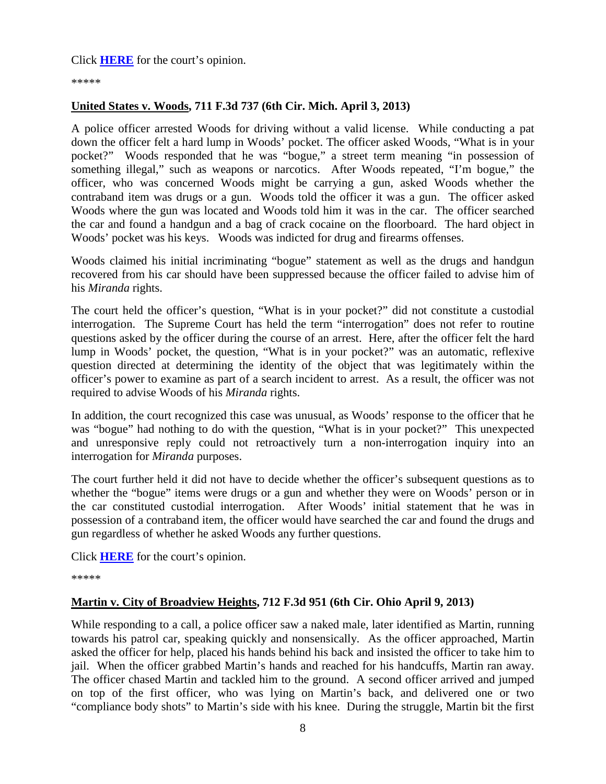Click **[HERE](http://docs.justia.com/cases/federal/appellate-courts/ca6/12-5878/12-5878-2013-04-02.pdf)** for the court's opinion.

\*\*\*\*\*

#### **United States v. Woods, 711 F.3d 737 (6th Cir. Mich. April 3, 2013)**

A police officer arrested Woods for driving without a valid license. While conducting a pat down the officer felt a hard lump in Woods' pocket. The officer asked Woods, "What is in your pocket?" Woods responded that he was "bogue," a street term meaning "in possession of something illegal," such as weapons or narcotics. After Woods repeated, "I'm bogue," the officer, who was concerned Woods might be carrying a gun, asked Woods whether the contraband item was drugs or a gun. Woods told the officer it was a gun. The officer asked Woods where the gun was located and Woods told him it was in the car. The officer searched the car and found a handgun and a bag of crack cocaine on the floorboard. The hard object in Woods' pocket was his keys. Woods was indicted for drug and firearms offenses.

Woods claimed his initial incriminating "bogue" statement as well as the drugs and handgun recovered from his car should have been suppressed because the officer failed to advise him of his *Miranda* rights.

The court held the officer's question, "What is in your pocket?" did not constitute a custodial interrogation. The Supreme Court has held the term "interrogation" does not refer to routine questions asked by the officer during the course of an arrest. Here, after the officer felt the hard lump in Woods' pocket, the question, "What is in your pocket?" was an automatic, reflexive question directed at determining the identity of the object that was legitimately within the officer's power to examine as part of a search incident to arrest. As a result, the officer was not required to advise Woods of his *Miranda* rights.

In addition, the court recognized this case was unusual, as Woods' response to the officer that he was "bogue" had nothing to do with the question, "What is in your pocket?" This unexpected and unresponsive reply could not retroactively turn a non-interrogation inquiry into an interrogation for *Miranda* purposes.

The court further held it did not have to decide whether the officer's subsequent questions as to whether the "bogue" items were drugs or a gun and whether they were on Woods' person or in the car constituted custodial interrogation. After Woods' initial statement that he was in possession of a contraband item, the officer would have searched the car and found the drugs and gun regardless of whether he asked Woods any further questions.

Click **[HERE](http://docs.justia.com/cases/federal/appellate-courts/ca6/11-2429/11-2429-2013-04-03.pdf)** for the court's opinion.

\*\*\*\*\*

#### **Martin v. City of Broadview Heights, 712 F.3d 951 (6th Cir. Ohio April 9, 2013)**

While responding to a call, a police officer saw a naked male, later identified as Martin, running towards his patrol car, speaking quickly and nonsensically. As the officer approached, Martin asked the officer for help, placed his hands behind his back and insisted the officer to take him to jail. When the officer grabbed Martin's hands and reached for his handcuffs, Martin ran away. The officer chased Martin and tackled him to the ground. A second officer arrived and jumped on top of the first officer, who was lying on Martin's back, and delivered one or two "compliance body shots" to Martin's side with his knee. During the struggle, Martin bit the first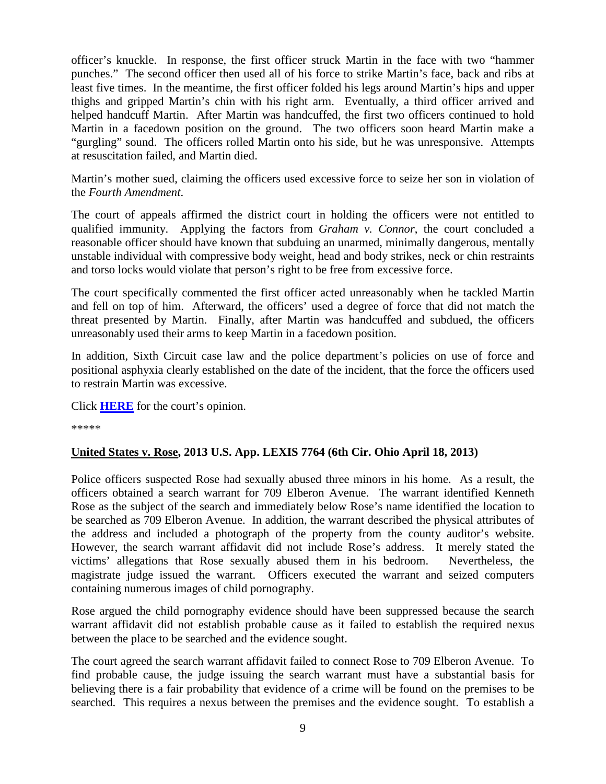officer's knuckle. In response, the first officer struck Martin in the face with two "hammer punches." The second officer then used all of his force to strike Martin's face, back and ribs at least five times. In the meantime, the first officer folded his legs around Martin's hips and upper thighs and gripped Martin's chin with his right arm. Eventually, a third officer arrived and helped handcuff Martin. After Martin was handcuffed, the first two officers continued to hold Martin in a facedown position on the ground. The two officers soon heard Martin make a "gurgling" sound. The officers rolled Martin onto his side, but he was unresponsive. Attempts at resuscitation failed, and Martin died.

Martin's mother sued, claiming the officers used excessive force to seize her son in violation of the *Fourth Amendment*.

The court of appeals affirmed the district court in holding the officers were not entitled to qualified immunity. Applying the factors from *Graham v. Connor*, the court concluded a reasonable officer should have known that subduing an unarmed, minimally dangerous, mentally unstable individual with compressive body weight, head and body strikes, neck or chin restraints and torso locks would violate that person's right to be free from excessive force.

The court specifically commented the first officer acted unreasonably when he tackled Martin and fell on top of him. Afterward, the officers' used a degree of force that did not match the threat presented by Martin. Finally, after Martin was handcuffed and subdued, the officers unreasonably used their arms to keep Martin in a facedown position.

In addition, Sixth Circuit case law and the police department's policies on use of force and positional asphyxia clearly established on the date of the incident, that the force the officers used to restrain Martin was excessive.

Click **[HERE](http://docs.justia.com/cases/federal/appellate-courts/ca6/11-4039/11-4039-2013-04-09.pdf)** for the court's opinion.

\*\*\*\*\*

#### **United States v. Rose, 2013 U.S. App. LEXIS 7764 (6th Cir. Ohio April 18, 2013)**

Police officers suspected Rose had sexually abused three minors in his home. As a result, the officers obtained a search warrant for 709 Elberon Avenue. The warrant identified Kenneth Rose as the subject of the search and immediately below Rose's name identified the location to be searched as 709 Elberon Avenue. In addition, the warrant described the physical attributes of the address and included a photograph of the property from the county auditor's website. However, the search warrant affidavit did not include Rose's address. It merely stated the victims' allegations that Rose sexually abused them in his bedroom. Nevertheless, the magistrate judge issued the warrant. Officers executed the warrant and seized computers containing numerous images of child pornography.

Rose argued the child pornography evidence should have been suppressed because the search warrant affidavit did not establish probable cause as it failed to establish the required nexus between the place to be searched and the evidence sought.

The court agreed the search warrant affidavit failed to connect Rose to 709 Elberon Avenue. To find probable cause, the judge issuing the search warrant must have a substantial basis for believing there is a fair probability that evidence of a crime will be found on the premises to be searched. This requires a nexus between the premises and the evidence sought. To establish a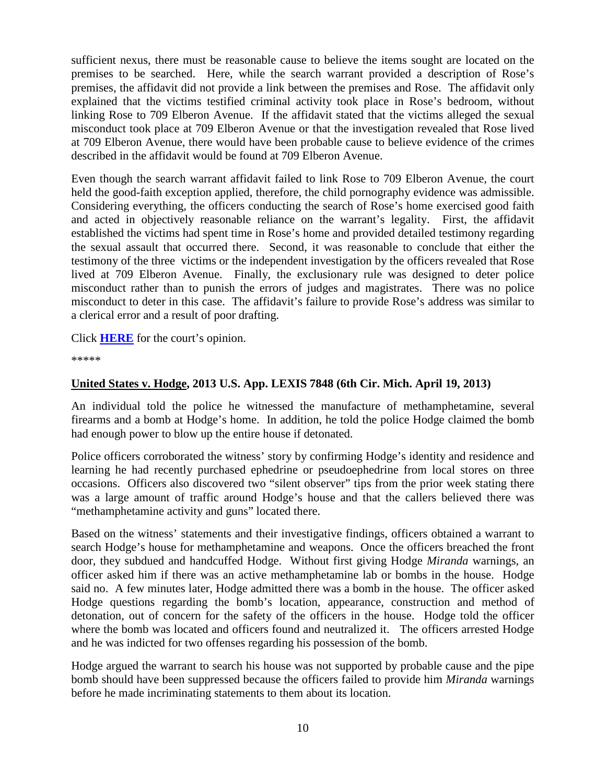sufficient nexus, there must be reasonable cause to believe the items sought are located on the premises to be searched. Here, while the search warrant provided a description of Rose's premises, the affidavit did not provide a link between the premises and Rose. The affidavit only explained that the victims testified criminal activity took place in Rose's bedroom, without linking Rose to 709 Elberon Avenue. If the affidavit stated that the victims alleged the sexual misconduct took place at 709 Elberon Avenue or that the investigation revealed that Rose lived at 709 Elberon Avenue, there would have been probable cause to believe evidence of the crimes described in the affidavit would be found at 709 Elberon Avenue.

Even though the search warrant affidavit failed to link Rose to 709 Elberon Avenue, the court held the good-faith exception applied, therefore, the child pornography evidence was admissible. Considering everything, the officers conducting the search of Rose's home exercised good faith and acted in objectively reasonable reliance on the warrant's legality. First, the affidavit established the victims had spent time in Rose's home and provided detailed testimony regarding the sexual assault that occurred there. Second, it was reasonable to conclude that either the testimony of the three victims or the independent investigation by the officers revealed that Rose lived at 709 Elberon Avenue. Finally, the exclusionary rule was designed to deter police misconduct rather than to punish the errors of judges and magistrates. There was no police misconduct to deter in this case. The affidavit's failure to provide Rose's address was similar to a clerical error and a result of poor drafting.

Click **[HERE](http://docs.justia.com/cases/federal/appellate-courts/ca6/11-4313/11-4313-2013-04-18.pdf)** for the court's opinion.

\*\*\*\*\*

#### **United States v. Hodge, 2013 U.S. App. LEXIS 7848 (6th Cir. Mich. April 19, 2013)**

An individual told the police he witnessed the manufacture of methamphetamine, several firearms and a bomb at Hodge's home. In addition, he told the police Hodge claimed the bomb had enough power to blow up the entire house if detonated.

Police officers corroborated the witness' story by confirming Hodge's identity and residence and learning he had recently purchased ephedrine or pseudoephedrine from local stores on three occasions. Officers also discovered two "silent observer" tips from the prior week stating there was a large amount of traffic around Hodge's house and that the callers believed there was "methamphetamine activity and guns" located there.

Based on the witness' statements and their investigative findings, officers obtained a warrant to search Hodge's house for methamphetamine and weapons. Once the officers breached the front door, they subdued and handcuffed Hodge. Without first giving Hodge *Miranda* warnings, an officer asked him if there was an active methamphetamine lab or bombs in the house. Hodge said no. A few minutes later, Hodge admitted there was a bomb in the house. The officer asked Hodge questions regarding the bomb's location, appearance, construction and method of detonation, out of concern for the safety of the officers in the house. Hodge told the officer where the bomb was located and officers found and neutralized it. The officers arrested Hodge and he was indicted for two offenses regarding his possession of the bomb.

Hodge argued the warrant to search his house was not supported by probable cause and the pipe bomb should have been suppressed because the officers failed to provide him *Miranda* warnings before he made incriminating statements to them about its location.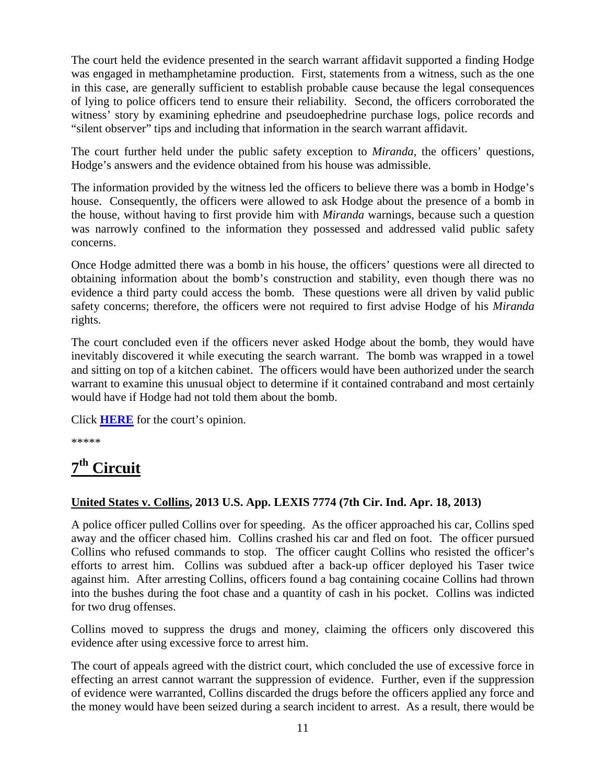The court held the evidence presented in the search warrant affidavit supported a finding Hodge was engaged in methamphetamine production. First, statements from a witness, such as the one in this case, are generally sufficient to establish probable cause because the legal consequences of lying to police officers tend to ensure their reliability. Second, the officers corroborated the witness' story by examining ephedrine and pseudoephedrine purchase logs, police records and "silent observer" tips and including that information in the search warrant affidavit.

The court further held under the public safety exception to *Miranda*, the officers' questions, Hodge's answers and the evidence obtained from his house was admissible.

The information provided by the witness led the officers to believe there was a bomb in Hodge's house. Consequently, the officers were allowed to ask Hodge about the presence of a bomb in the house, without having to first provide him with *Miranda* warnings, because such a question was narrowly confined to the information they possessed and addressed valid public safety concerns.

Once Hodge admitted there was a bomb in his house, the officers' questions were all directed to obtaining information about the bomb's construction and stability, even though there was no evidence a third party could access the bomb. These questions were all driven by valid public safety concerns; therefore, the officers were not required to first advise Hodge of his *Miranda* rights.

The court concluded even if the officers never asked Hodge about the bomb, they would have inevitably discovered it while executing the search warrant. The bomb was wrapped in a towel and sitting on top of a kitchen cabinet. The officers would have been authorized under the search warrant to examine this unusual object to determine if it contained contraband and most certainly would have if Hodge had not told them about the bomb.

Click **[HERE](http://docs.justia.com/cases/federal/appellate-courts/ca6/12-1173/12-1173-2013-04-19.pdf)** for the court's opinion.

\*\*\*\*\*

## <span id="page-14-0"></span>**7th Circuit**

#### **United States v. Collins, 2013 U.S. App. LEXIS 7774 (7th Cir. Ind. Apr. 18, 2013)**

A police officer pulled Collins over for speeding. As the officer approached his car, Collins sped away and the officer chased him. Collins crashed his car and fled on foot. The officer pursued Collins who refused commands to stop. The officer caught Collins who resisted the officer's efforts to arrest him. Collins was subdued after a back-up officer deployed his Taser twice against him. After arresting Collins, officers found a bag containing cocaine Collins had thrown into the bushes during the foot chase and a quantity of cash in his pocket. Collins was indicted for two drug offenses.

Collins moved to suppress the drugs and money, claiming the officers only discovered this evidence after using excessive force to arrest him.

The court of appeals agreed with the district court, which concluded the use of excessive force in effecting an arrest cannot warrant the suppression of evidence. Further, even if the suppression of evidence were warranted, Collins discarded the drugs before the officers applied any force and the money would have been seized during a search incident to arrest. As a result, there would be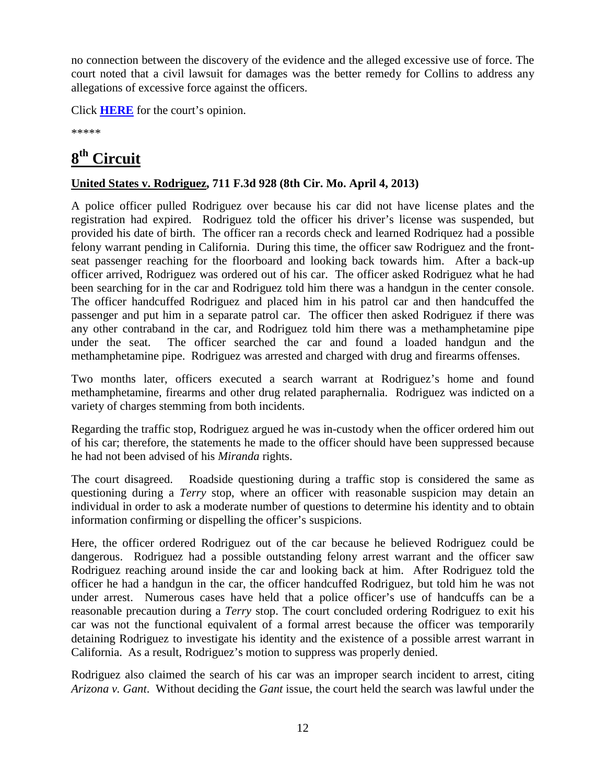no connection between the discovery of the evidence and the alleged excessive use of force. The court noted that a civil lawsuit for damages was the better remedy for Collins to address any allegations of excessive force against the officers.

Click **[HERE](http://docs.justia.com/cases/federal/appellate-courts/ca7/12-3317/12-3317-2013-04-18.pdf)** for the court's opinion.

\*\*\*\*\*

## <span id="page-15-0"></span>**8th Circuit**

#### **United States v. Rodriguez, 711 F.3d 928 (8th Cir. Mo. April 4, 2013)**

A police officer pulled Rodriguez over because his car did not have license plates and the registration had expired. Rodriguez told the officer his driver's license was suspended, but provided his date of birth. The officer ran a records check and learned Rodriquez had a possible felony warrant pending in California. During this time, the officer saw Rodriguez and the frontseat passenger reaching for the floorboard and looking back towards him. After a back-up officer arrived, Rodriguez was ordered out of his car. The officer asked Rodriguez what he had been searching for in the car and Rodriguez told him there was a handgun in the center console. The officer handcuffed Rodriguez and placed him in his patrol car and then handcuffed the passenger and put him in a separate patrol car. The officer then asked Rodriguez if there was any other contraband in the car, and Rodriguez told him there was a methamphetamine pipe under the seat. The officer searched the car and found a loaded handgun and the methamphetamine pipe. Rodriguez was arrested and charged with drug and firearms offenses.

Two months later, officers executed a search warrant at Rodriguez's home and found methamphetamine, firearms and other drug related paraphernalia. Rodriguez was indicted on a variety of charges stemming from both incidents.

Regarding the traffic stop, Rodriguez argued he was in-custody when the officer ordered him out of his car; therefore, the statements he made to the officer should have been suppressed because he had not been advised of his *Miranda* rights.

The court disagreed. Roadside questioning during a traffic stop is considered the same as questioning during a *Terry* stop, where an officer with reasonable suspicion may detain an individual in order to ask a moderate number of questions to determine his identity and to obtain information confirming or dispelling the officer's suspicions.

Here, the officer ordered Rodriguez out of the car because he believed Rodriguez could be dangerous. Rodriguez had a possible outstanding felony arrest warrant and the officer saw Rodriguez reaching around inside the car and looking back at him. After Rodriguez told the officer he had a handgun in the car, the officer handcuffed Rodriguez, but told him he was not under arrest. Numerous cases have held that a police officer's use of handcuffs can be a reasonable precaution during a *Terry* stop. The court concluded ordering Rodriguez to exit his car was not the functional equivalent of a formal arrest because the officer was temporarily detaining Rodriguez to investigate his identity and the existence of a possible arrest warrant in California. As a result, Rodriguez's motion to suppress was properly denied.

Rodriguez also claimed the search of his car was an improper search incident to arrest, citing *Arizona v. Gant*. Without deciding the *Gant* issue, the court held the search was lawful under the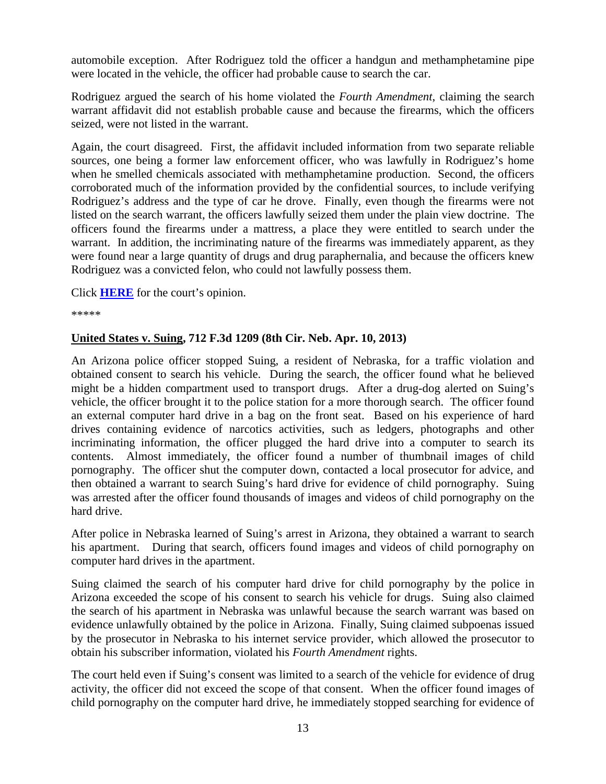automobile exception. After Rodriguez told the officer a handgun and methamphetamine pipe were located in the vehicle, the officer had probable cause to search the car.

Rodriguez argued the search of his home violated the *Fourth Amendment*, claiming the search warrant affidavit did not establish probable cause and because the firearms, which the officers seized, were not listed in the warrant.

Again, the court disagreed. First, the affidavit included information from two separate reliable sources, one being a former law enforcement officer, who was lawfully in Rodriguez's home when he smelled chemicals associated with methamphetamine production. Second, the officers corroborated much of the information provided by the confidential sources, to include verifying Rodriguez's address and the type of car he drove. Finally, even though the firearms were not listed on the search warrant, the officers lawfully seized them under the plain view doctrine. The officers found the firearms under a mattress, a place they were entitled to search under the warrant. In addition, the incriminating nature of the firearms was immediately apparent, as they were found near a large quantity of drugs and drug paraphernalia, and because the officers knew Rodriguez was a convicted felon, who could not lawfully possess them.

Click **[HERE](http://docs.justia.com/cases/federal/appellate-courts/ca8/11-3321/11-3321-2013-04-04.pdf)** for the court's opinion.

\*\*\*\*\*

#### **United States v. Suing, 712 F.3d 1209 (8th Cir. Neb. Apr. 10, 2013)**

An Arizona police officer stopped Suing, a resident of Nebraska, for a traffic violation and obtained consent to search his vehicle. During the search, the officer found what he believed might be a hidden compartment used to transport drugs. After a drug-dog alerted on Suing's vehicle, the officer brought it to the police station for a more thorough search. The officer found an external computer hard drive in a bag on the front seat. Based on his experience of hard drives containing evidence of narcotics activities, such as ledgers, photographs and other incriminating information, the officer plugged the hard drive into a computer to search its contents. Almost immediately, the officer found a number of thumbnail images of child pornography. The officer shut the computer down, contacted a local prosecutor for advice, and then obtained a warrant to search Suing's hard drive for evidence of child pornography. Suing was arrested after the officer found thousands of images and videos of child pornography on the hard drive.

After police in Nebraska learned of Suing's arrest in Arizona, they obtained a warrant to search his apartment. During that search, officers found images and videos of child pornography on computer hard drives in the apartment.

Suing claimed the search of his computer hard drive for child pornography by the police in Arizona exceeded the scope of his consent to search his vehicle for drugs. Suing also claimed the search of his apartment in Nebraska was unlawful because the search warrant was based on evidence unlawfully obtained by the police in Arizona. Finally, Suing claimed subpoenas issued by the prosecutor in Nebraska to his internet service provider, which allowed the prosecutor to obtain his subscriber information, violated his *Fourth Amendment* rights.

The court held even if Suing's consent was limited to a search of the vehicle for evidence of drug activity, the officer did not exceed the scope of that consent. When the officer found images of child pornography on the computer hard drive, he immediately stopped searching for evidence of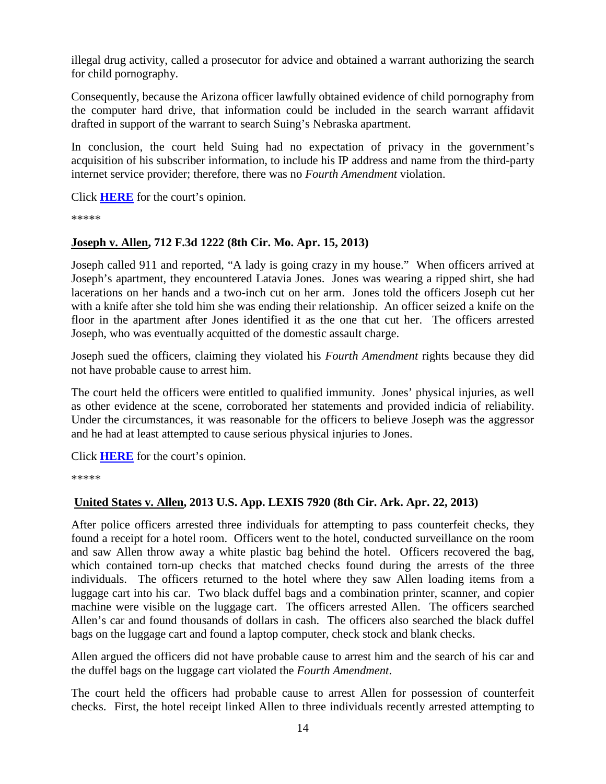illegal drug activity, called a prosecutor for advice and obtained a warrant authorizing the search for child pornography.

Consequently, because the Arizona officer lawfully obtained evidence of child pornography from the computer hard drive, that information could be included in the search warrant affidavit drafted in support of the warrant to search Suing's Nebraska apartment.

In conclusion, the court held Suing had no expectation of privacy in the government's acquisition of his subscriber information, to include his IP address and name from the third-party internet service provider; therefore, there was no *Fourth Amendment* violation.

Click **[HERE](http://docs.justia.com/cases/federal/appellate-courts/ca8/12-2885/12-2885-2013-04-10.pdf)** for the court's opinion.

\*\*\*\*\*

#### **Joseph v. Allen, 712 F.3d 1222 (8th Cir. Mo. Apr. 15, 2013)**

Joseph called 911 and reported, "A lady is going crazy in my house." When officers arrived at Joseph's apartment, they encountered Latavia Jones. Jones was wearing a ripped shirt, she had lacerations on her hands and a two-inch cut on her arm. Jones told the officers Joseph cut her with a knife after she told him she was ending their relationship. An officer seized a knife on the floor in the apartment after Jones identified it as the one that cut her. The officers arrested Joseph, who was eventually acquitted of the domestic assault charge.

Joseph sued the officers, claiming they violated his *Fourth Amendment* rights because they did not have probable cause to arrest him.

The court held the officers were entitled to qualified immunity. Jones' physical injuries, as well as other evidence at the scene, corroborated her statements and provided indicia of reliability. Under the circumstances, it was reasonable for the officers to believe Joseph was the aggressor and he had at least attempted to cause serious physical injuries to Jones.

Click **[HERE](http://docs.justia.com/cases/federal/appellate-courts/ca8/12-2411/12-2411-2013-04-15.pdf)** for the court's opinion.

\*\*\*\*\*

#### **United States v. Allen, 2013 U.S. App. LEXIS 7920 (8th Cir. Ark. Apr. 22, 2013)**

After police officers arrested three individuals for attempting to pass counterfeit checks, they found a receipt for a hotel room. Officers went to the hotel, conducted surveillance on the room and saw Allen throw away a white plastic bag behind the hotel. Officers recovered the bag, which contained torn-up checks that matched checks found during the arrests of the three individuals. The officers returned to the hotel where they saw Allen loading items from a luggage cart into his car. Two black duffel bags and a combination printer, scanner, and copier machine were visible on the luggage cart. The officers arrested Allen. The officers searched Allen's car and found thousands of dollars in cash. The officers also searched the black duffel bags on the luggage cart and found a laptop computer, check stock and blank checks.

Allen argued the officers did not have probable cause to arrest him and the search of his car and the duffel bags on the luggage cart violated the *Fourth Amendment*.

The court held the officers had probable cause to arrest Allen for possession of counterfeit checks. First, the hotel receipt linked Allen to three individuals recently arrested attempting to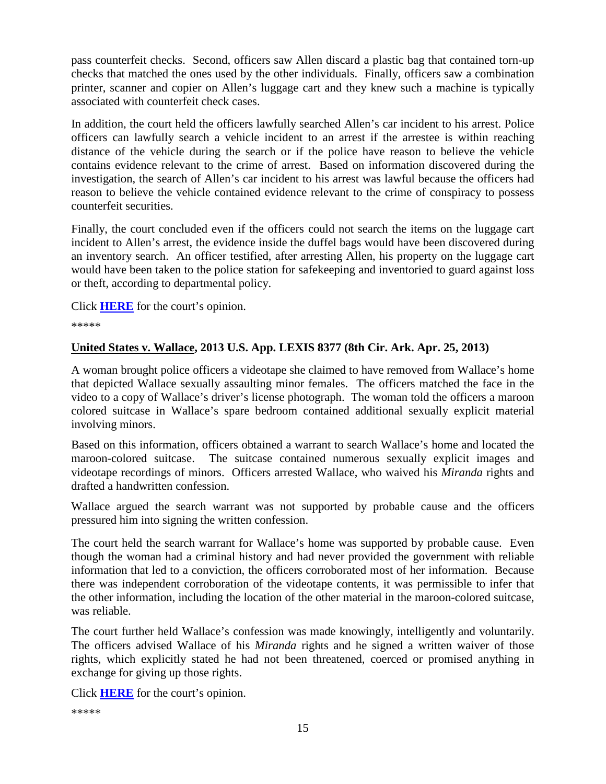pass counterfeit checks. Second, officers saw Allen discard a plastic bag that contained torn-up checks that matched the ones used by the other individuals. Finally, officers saw a combination printer, scanner and copier on Allen's luggage cart and they knew such a machine is typically associated with counterfeit check cases.

In addition, the court held the officers lawfully searched Allen's car incident to his arrest. Police officers can lawfully search a vehicle incident to an arrest if the arrestee is within reaching distance of the vehicle during the search or if the police have reason to believe the vehicle contains evidence relevant to the crime of arrest. Based on information discovered during the investigation, the search of Allen's car incident to his arrest was lawful because the officers had reason to believe the vehicle contained evidence relevant to the crime of conspiracy to possess counterfeit securities.

Finally, the court concluded even if the officers could not search the items on the luggage cart incident to Allen's arrest, the evidence inside the duffel bags would have been discovered during an inventory search. An officer testified, after arresting Allen, his property on the luggage cart would have been taken to the police station for safekeeping and inventoried to guard against loss or theft, according to departmental policy.

Click **[HERE](http://docs.justia.com/cases/federal/appellate-courts/ca8/12-2613/12-2613-2013-04-22.pdf)** for the court's opinion.

\*\*\*\*\*

#### **United States v. Wallace, 2013 U.S. App. LEXIS 8377 (8th Cir. Ark. Apr. 25, 2013)**

A woman brought police officers a videotape she claimed to have removed from Wallace's home that depicted Wallace sexually assaulting minor females. The officers matched the face in the video to a copy of Wallace's driver's license photograph. The woman told the officers a maroon colored suitcase in Wallace's spare bedroom contained additional sexually explicit material involving minors.

Based on this information, officers obtained a warrant to search Wallace's home and located the maroon-colored suitcase. The suitcase contained numerous sexually explicit images and videotape recordings of minors. Officers arrested Wallace, who waived his *Miranda* rights and drafted a handwritten confession.

Wallace argued the search warrant was not supported by probable cause and the officers pressured him into signing the written confession.

The court held the search warrant for Wallace's home was supported by probable cause. Even though the woman had a criminal history and had never provided the government with reliable information that led to a conviction, the officers corroborated most of her information. Because there was independent corroboration of the videotape contents, it was permissible to infer that the other information, including the location of the other material in the maroon-colored suitcase, was reliable.

The court further held Wallace's confession was made knowingly, intelligently and voluntarily. The officers advised Wallace of his *Miranda* rights and he signed a written waiver of those rights, which explicitly stated he had not been threatened, coerced or promised anything in exchange for giving up those rights.

Click **[HERE](http://docs.justia.com/cases/federal/appellate-courts/ca8/12-2172/12-2172-2013-04-25.pdf)** for the court's opinion.

```
*****
```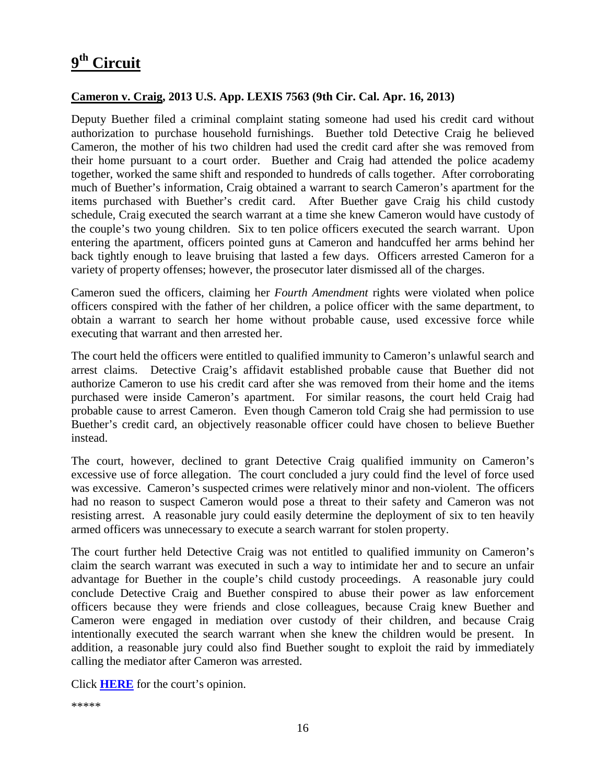## <span id="page-19-0"></span>**9th Circuit**

#### **Cameron v. Craig, 2013 U.S. App. LEXIS 7563 (9th Cir. Cal. Apr. 16, 2013)**

Deputy Buether filed a criminal complaint stating someone had used his credit card without authorization to purchase household furnishings. Buether told Detective Craig he believed Cameron, the mother of his two children had used the credit card after she was removed from their home pursuant to a court order. Buether and Craig had attended the police academy together, worked the same shift and responded to hundreds of calls together. After corroborating much of Buether's information, Craig obtained a warrant to search Cameron's apartment for the items purchased with Buether's credit card. After Buether gave Craig his child custody schedule, Craig executed the search warrant at a time she knew Cameron would have custody of the couple's two young children. Six to ten police officers executed the search warrant. Upon entering the apartment, officers pointed guns at Cameron and handcuffed her arms behind her back tightly enough to leave bruising that lasted a few days. Officers arrested Cameron for a variety of property offenses; however, the prosecutor later dismissed all of the charges.

Cameron sued the officers, claiming her *Fourth Amendment* rights were violated when police officers conspired with the father of her children, a police officer with the same department, to obtain a warrant to search her home without probable cause, used excessive force while executing that warrant and then arrested her.

The court held the officers were entitled to qualified immunity to Cameron's unlawful search and arrest claims. Detective Craig's affidavit established probable cause that Buether did not authorize Cameron to use his credit card after she was removed from their home and the items purchased were inside Cameron's apartment. For similar reasons, the court held Craig had probable cause to arrest Cameron. Even though Cameron told Craig she had permission to use Buether's credit card, an objectively reasonable officer could have chosen to believe Buether instead.

The court, however, declined to grant Detective Craig qualified immunity on Cameron's excessive use of force allegation. The court concluded a jury could find the level of force used was excessive. Cameron's suspected crimes were relatively minor and non-violent. The officers had no reason to suspect Cameron would pose a threat to their safety and Cameron was not resisting arrest. A reasonable jury could easily determine the deployment of six to ten heavily armed officers was unnecessary to execute a search warrant for stolen property.

The court further held Detective Craig was not entitled to qualified immunity on Cameron's claim the search warrant was executed in such a way to intimidate her and to secure an unfair advantage for Buether in the couple's child custody proceedings. A reasonable jury could conclude Detective Craig and Buether conspired to abuse their power as law enforcement officers because they were friends and close colleagues, because Craig knew Buether and Cameron were engaged in mediation over custody of their children, and because Craig intentionally executed the search warrant when she knew the children would be present. In addition, a reasonable jury could also find Buether sought to exploit the raid by immediately calling the mediator after Cameron was arrested.

Click **[HERE](http://docs.justia.com/cases/federal/appellate-courts/ca9/11-55927/11-55927-2013-04-16.pdf)** for the court's opinion.

\*\*\*\*\*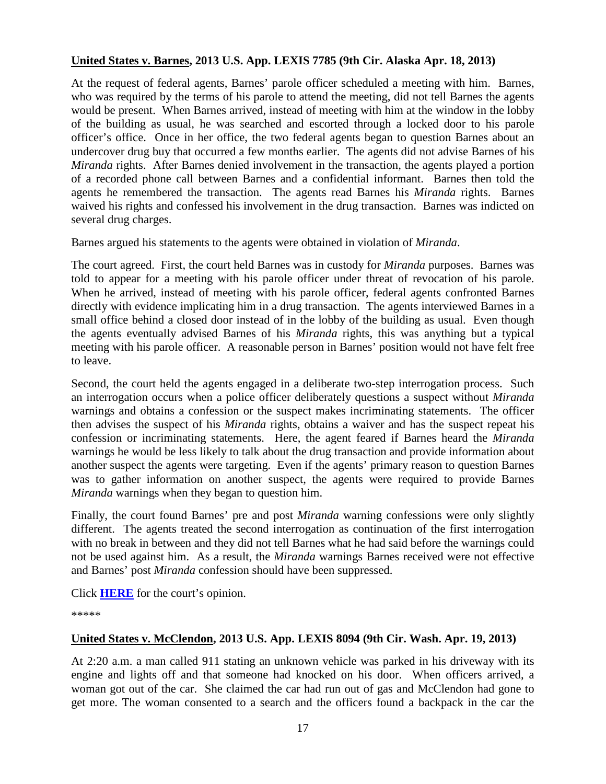#### **United States v. Barnes, 2013 U.S. App. LEXIS 7785 (9th Cir. Alaska Apr. 18, 2013)**

At the request of federal agents, Barnes' parole officer scheduled a meeting with him. Barnes, who was required by the terms of his parole to attend the meeting, did not tell Barnes the agents would be present. When Barnes arrived, instead of meeting with him at the window in the lobby of the building as usual, he was searched and escorted through a locked door to his parole officer's office. Once in her office, the two federal agents began to question Barnes about an undercover drug buy that occurred a few months earlier. The agents did not advise Barnes of his *Miranda* rights. After Barnes denied involvement in the transaction, the agents played a portion of a recorded phone call between Barnes and a confidential informant. Barnes then told the agents he remembered the transaction. The agents read Barnes his *Miranda* rights. Barnes waived his rights and confessed his involvement in the drug transaction. Barnes was indicted on several drug charges.

Barnes argued his statements to the agents were obtained in violation of *Miranda*.

The court agreed. First, the court held Barnes was in custody for *Miranda* purposes. Barnes was told to appear for a meeting with his parole officer under threat of revocation of his parole. When he arrived, instead of meeting with his parole officer, federal agents confronted Barnes directly with evidence implicating him in a drug transaction. The agents interviewed Barnes in a small office behind a closed door instead of in the lobby of the building as usual. Even though the agents eventually advised Barnes of his *Miranda* rights, this was anything but a typical meeting with his parole officer. A reasonable person in Barnes' position would not have felt free to leave.

Second, the court held the agents engaged in a deliberate two-step interrogation process. Such an interrogation occurs when a police officer deliberately questions a suspect without *Miranda* warnings and obtains a confession or the suspect makes incriminating statements. The officer then advises the suspect of his *Miranda* rights, obtains a waiver and has the suspect repeat his confession or incriminating statements. Here, the agent feared if Barnes heard the *Miranda*  warnings he would be less likely to talk about the drug transaction and provide information about another suspect the agents were targeting. Even if the agents' primary reason to question Barnes was to gather information on another suspect, the agents were required to provide Barnes *Miranda* warnings when they began to question him.

Finally, the court found Barnes' pre and post *Miranda* warning confessions were only slightly different. The agents treated the second interrogation as continuation of the first interrogation with no break in between and they did not tell Barnes what he had said before the warnings could not be used against him. As a result, the *Miranda* warnings Barnes received were not effective and Barnes' post *Miranda* confession should have been suppressed.

Click **[HERE](http://docs.justia.com/cases/federal/appellate-courts/ca9/11-30107/11-30107-2013-04-18.pdf)** for the court's opinion.

\*\*\*\*\*

#### **United States v. McClendon, 2013 U.S. App. LEXIS 8094 (9th Cir. Wash. Apr. 19, 2013)**

At 2:20 a.m. a man called 911 stating an unknown vehicle was parked in his driveway with its engine and lights off and that someone had knocked on his door. When officers arrived, a woman got out of the car. She claimed the car had run out of gas and McClendon had gone to get more. The woman consented to a search and the officers found a backpack in the car the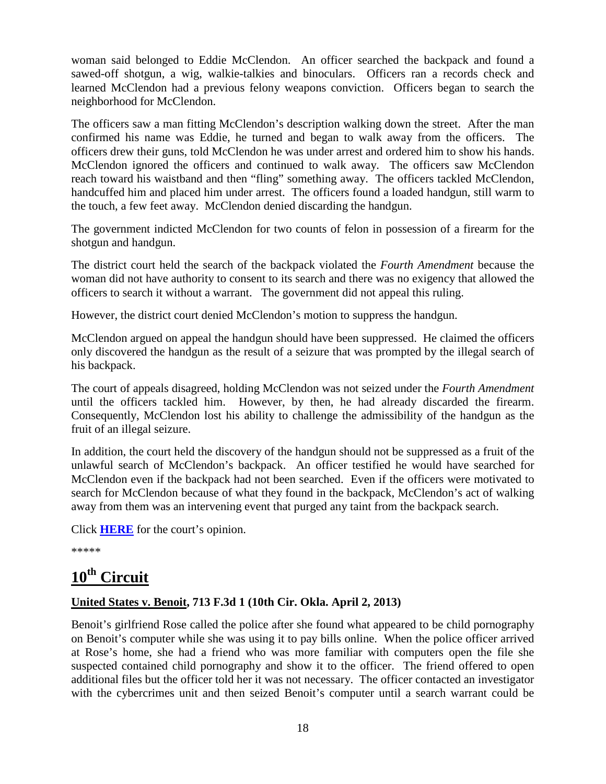woman said belonged to Eddie McClendon. An officer searched the backpack and found a sawed-off shotgun, a wig, walkie-talkies and binoculars. Officers ran a records check and learned McClendon had a previous felony weapons conviction. Officers began to search the neighborhood for McClendon.

The officers saw a man fitting McClendon's description walking down the street. After the man confirmed his name was Eddie, he turned and began to walk away from the officers. The officers drew their guns, told McClendon he was under arrest and ordered him to show his hands. McClendon ignored the officers and continued to walk away. The officers saw McClendon reach toward his waistband and then "fling" something away. The officers tackled McClendon, handcuffed him and placed him under arrest. The officers found a loaded handgun, still warm to the touch, a few feet away. McClendon denied discarding the handgun.

The government indicted McClendon for two counts of felon in possession of a firearm for the shotgun and handgun.

The district court held the search of the backpack violated the *Fourth Amendment* because the woman did not have authority to consent to its search and there was no exigency that allowed the officers to search it without a warrant. The government did not appeal this ruling.

However, the district court denied McClendon's motion to suppress the handgun.

McClendon argued on appeal the handgun should have been suppressed. He claimed the officers only discovered the handgun as the result of a seizure that was prompted by the illegal search of his backpack.

The court of appeals disagreed, holding McClendon was not seized under the *Fourth Amendment* until the officers tackled him. However, by then, he had already discarded the firearm. Consequently, McClendon lost his ability to challenge the admissibility of the handgun as the fruit of an illegal seizure.

In addition, the court held the discovery of the handgun should not be suppressed as a fruit of the unlawful search of McClendon's backpack. An officer testified he would have searched for McClendon even if the backpack had not been searched. Even if the officers were motivated to search for McClendon because of what they found in the backpack, McClendon's act of walking away from them was an intervening event that purged any taint from the backpack search.

Click **[HERE](http://docs.justia.com/cases/federal/appellate-courts/ca9/12-30015/12-30015-2013-04-19.pdf)** for the court's opinion.

\*\*\*\*\*

## <span id="page-21-0"></span>**10th Circuit**

#### **United States v. Benoit, 713 F.3d 1 (10th Cir. Okla. April 2, 2013)**

Benoit's girlfriend Rose called the police after she found what appeared to be child pornography on Benoit's computer while she was using it to pay bills online. When the police officer arrived at Rose's home, she had a friend who was more familiar with computers open the file she suspected contained child pornography and show it to the officer. The friend offered to open additional files but the officer told her it was not necessary. The officer contacted an investigator with the cybercrimes unit and then seized Benoit's computer until a search warrant could be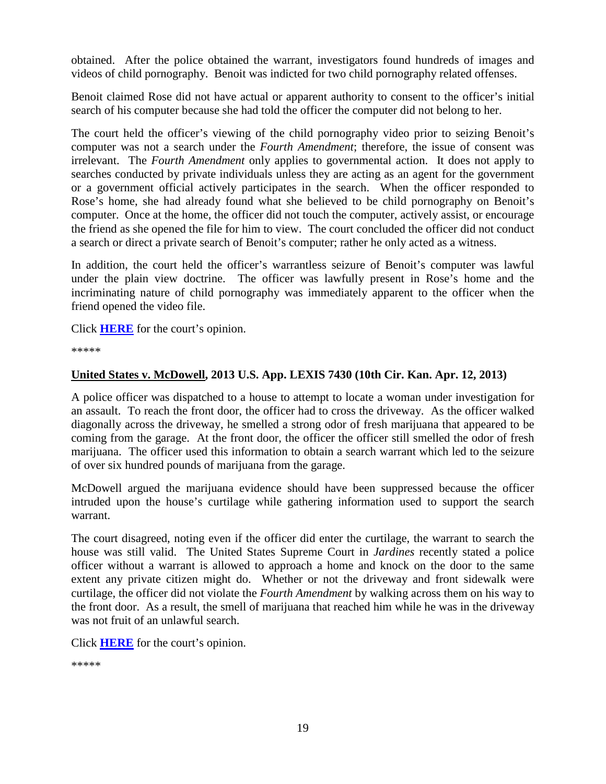obtained. After the police obtained the warrant, investigators found hundreds of images and videos of child pornography. Benoit was indicted for two child pornography related offenses.

Benoit claimed Rose did not have actual or apparent authority to consent to the officer's initial search of his computer because she had told the officer the computer did not belong to her.

The court held the officer's viewing of the child pornography video prior to seizing Benoit's computer was not a search under the *Fourth Amendment*; therefore, the issue of consent was irrelevant. The *Fourth Amendment* only applies to governmental action. It does not apply to searches conducted by private individuals unless they are acting as an agent for the government or a government official actively participates in the search. When the officer responded to Rose's home, she had already found what she believed to be child pornography on Benoit's computer. Once at the home, the officer did not touch the computer, actively assist, or encourage the friend as she opened the file for him to view. The court concluded the officer did not conduct a search or direct a private search of Benoit's computer; rather he only acted as a witness.

In addition, the court held the officer's warrantless seizure of Benoit's computer was lawful under the plain view doctrine. The officer was lawfully present in Rose's home and the incriminating nature of child pornography was immediately apparent to the officer when the friend opened the video file.

Click **[HERE](http://docs.justia.com/cases/federal/appellate-courts/ca10/12-5013/12-5013-2013-04-02.pdf)** for the court's opinion.

\*\*\*\*\*

#### **United States v. McDowell, 2013 U.S. App. LEXIS 7430 (10th Cir. Kan. Apr. 12, 2013)**

A police officer was dispatched to a house to attempt to locate a woman under investigation for an assault. To reach the front door, the officer had to cross the driveway. As the officer walked diagonally across the driveway, he smelled a strong odor of fresh marijuana that appeared to be coming from the garage. At the front door, the officer the officer still smelled the odor of fresh marijuana. The officer used this information to obtain a search warrant which led to the seizure of over six hundred pounds of marijuana from the garage.

McDowell argued the marijuana evidence should have been suppressed because the officer intruded upon the house's curtilage while gathering information used to support the search warrant.

The court disagreed, noting even if the officer did enter the curtilage, the warrant to search the house was still valid. The United States Supreme Court in *Jardines* recently stated a police officer without a warrant is allowed to approach a home and knock on the door to the same extent any private citizen might do. Whether or not the driveway and front sidewalk were curtilage, the officer did not violate the *Fourth Amendment* by walking across them on his way to the front door. As a result, the smell of marijuana that reached him while he was in the driveway was not fruit of an unlawful search.

Click **[HERE](http://docs.justia.com/cases/federal/appellate-courts/ca10/11-3337/11-3337-2013-04-12.pdf)** for the court's opinion.

\*\*\*\*\*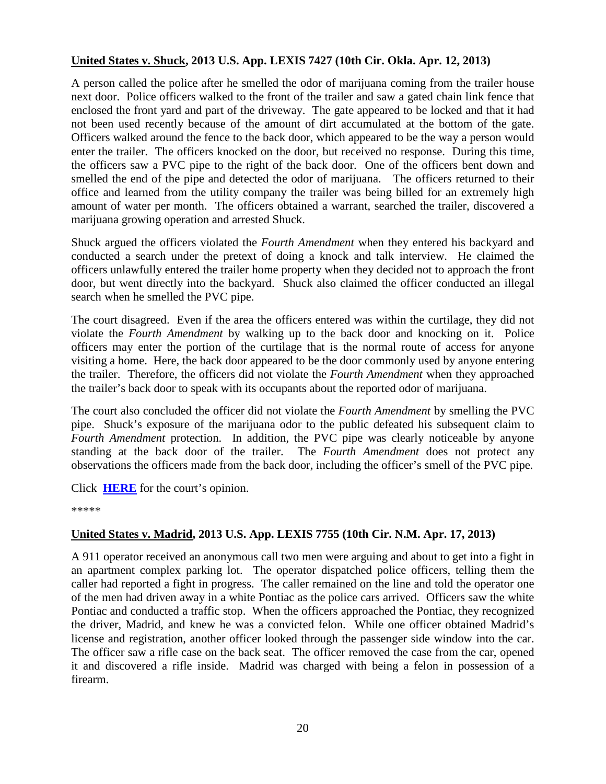#### **United States v. Shuck, 2013 U.S. App. LEXIS 7427 (10th Cir. Okla. Apr. 12, 2013)**

A person called the police after he smelled the odor of marijuana coming from the trailer house next door. Police officers walked to the front of the trailer and saw a gated chain link fence that enclosed the front yard and part of the driveway. The gate appeared to be locked and that it had not been used recently because of the amount of dirt accumulated at the bottom of the gate. Officers walked around the fence to the back door, which appeared to be the way a person would enter the trailer. The officers knocked on the door, but received no response. During this time, the officers saw a PVC pipe to the right of the back door. One of the officers bent down and smelled the end of the pipe and detected the odor of marijuana. The officers returned to their office and learned from the utility company the trailer was being billed for an extremely high amount of water per month. The officers obtained a warrant, searched the trailer, discovered a marijuana growing operation and arrested Shuck.

Shuck argued the officers violated the *Fourth Amendment* when they entered his backyard and conducted a search under the pretext of doing a knock and talk interview. He claimed the officers unlawfully entered the trailer home property when they decided not to approach the front door, but went directly into the backyard. Shuck also claimed the officer conducted an illegal search when he smelled the PVC pipe.

The court disagreed. Even if the area the officers entered was within the curtilage, they did not violate the *Fourth Amendment* by walking up to the back door and knocking on it. Police officers may enter the portion of the curtilage that is the normal route of access for anyone visiting a home. Here, the back door appeared to be the door commonly used by anyone entering the trailer. Therefore, the officers did not violate the *Fourth Amendment* when they approached the trailer's back door to speak with its occupants about the reported odor of marijuana.

The court also concluded the officer did not violate the *Fourth Amendment* by smelling the PVC pipe. Shuck's exposure of the marijuana odor to the public defeated his subsequent claim to *Fourth Amendment* protection. In addition, the PVC pipe was clearly noticeable by anyone standing at the back door of the trailer. The *Fourth Amendment* does not protect any observations the officers made from the back door, including the officer's smell of the PVC pipe*.*

Click **[HERE](http://docs.justia.com/cases/federal/appellate-courts/ca10/12-5072/12-5072-2013-04-12.pdf)** for the court's opinion.

\*\*\*\*\*

#### **United States v. Madrid, 2013 U.S. App. LEXIS 7755 (10th Cir. N.M. Apr. 17, 2013)**

A 911 operator received an anonymous call two men were arguing and about to get into a fight in an apartment complex parking lot. The operator dispatched police officers, telling them the caller had reported a fight in progress. The caller remained on the line and told the operator one of the men had driven away in a white Pontiac as the police cars arrived. Officers saw the white Pontiac and conducted a traffic stop. When the officers approached the Pontiac, they recognized the driver, Madrid, and knew he was a convicted felon. While one officer obtained Madrid's license and registration, another officer looked through the passenger side window into the car. The officer saw a rifle case on the back seat. The officer removed the case from the car, opened it and discovered a rifle inside. Madrid was charged with being a felon in possession of a firearm.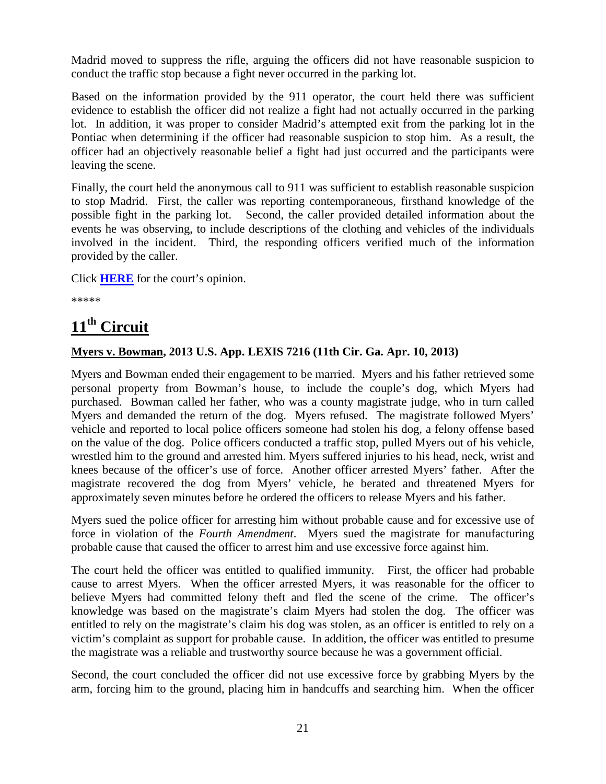Madrid moved to suppress the rifle, arguing the officers did not have reasonable suspicion to conduct the traffic stop because a fight never occurred in the parking lot.

Based on the information provided by the 911 operator, the court held there was sufficient evidence to establish the officer did not realize a fight had not actually occurred in the parking lot. In addition, it was proper to consider Madrid's attempted exit from the parking lot in the Pontiac when determining if the officer had reasonable suspicion to stop him. As a result, the officer had an objectively reasonable belief a fight had just occurred and the participants were leaving the scene.

Finally, the court held the anonymous call to 911 was sufficient to establish reasonable suspicion to stop Madrid. First, the caller was reporting contemporaneous, firsthand knowledge of the possible fight in the parking lot. Second, the caller provided detailed information about the events he was observing, to include descriptions of the clothing and vehicles of the individuals involved in the incident. Third, the responding officers verified much of the information provided by the caller.

Click **[HERE](http://docs.justia.com/cases/federal/appellate-courts/ca10/12-2095/12-2095-2013-04-17.pdf)** for the court's opinion.

\*\*\*\*\*

## <span id="page-24-0"></span>**11th Circuit**

#### **Myers v. Bowman, 2013 U.S. App. LEXIS 7216 (11th Cir. Ga. Apr. 10, 2013)**

Myers and Bowman ended their engagement to be married. Myers and his father retrieved some personal property from Bowman's house, to include the couple's dog, which Myers had purchased. Bowman called her father, who was a county magistrate judge, who in turn called Myers and demanded the return of the dog. Myers refused. The magistrate followed Myers' vehicle and reported to local police officers someone had stolen his dog, a felony offense based on the value of the dog. Police officers conducted a traffic stop, pulled Myers out of his vehicle, wrestled him to the ground and arrested him. Myers suffered injuries to his head, neck, wrist and knees because of the officer's use of force. Another officer arrested Myers' father. After the magistrate recovered the dog from Myers' vehicle, he berated and threatened Myers for approximately seven minutes before he ordered the officers to release Myers and his father.

Myers sued the police officer for arresting him without probable cause and for excessive use of force in violation of the *Fourth Amendment*. Myers sued the magistrate for manufacturing probable cause that caused the officer to arrest him and use excessive force against him.

The court held the officer was entitled to qualified immunity. First, the officer had probable cause to arrest Myers. When the officer arrested Myers, it was reasonable for the officer to believe Myers had committed felony theft and fled the scene of the crime. The officer's knowledge was based on the magistrate's claim Myers had stolen the dog. The officer was entitled to rely on the magistrate's claim his dog was stolen, as an officer is entitled to rely on a victim's complaint as support for probable cause. In addition, the officer was entitled to presume the magistrate was a reliable and trustworthy source because he was a government official.

Second, the court concluded the officer did not use excessive force by grabbing Myers by the arm, forcing him to the ground, placing him in handcuffs and searching him. When the officer